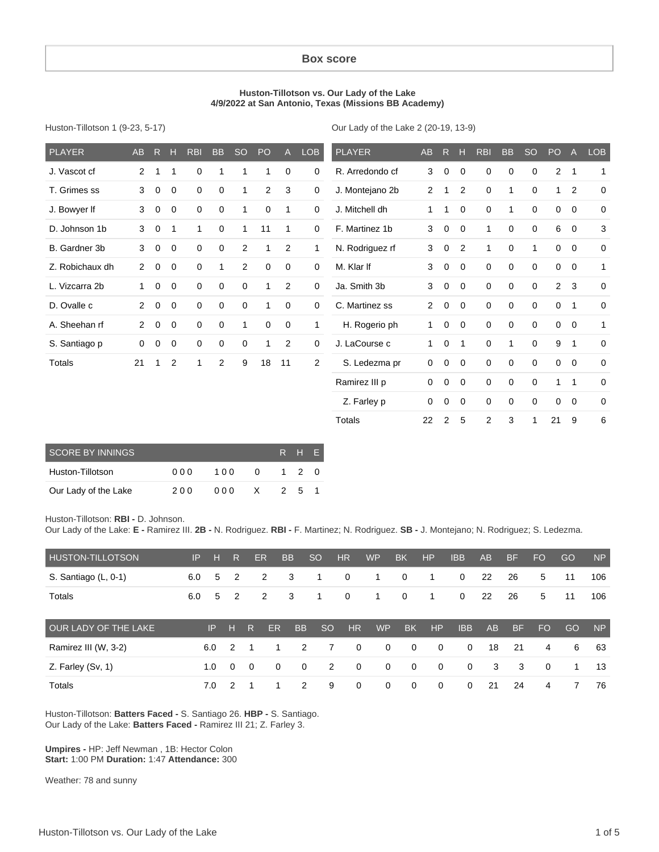#### **Box score**

#### **Huston-Tillotson vs. Our Lady of the Lake 4/9/2022 at San Antonio, Texas (Missions BB Academy)**

Huston-Tillotson 1 (9-23, 5-17)

Our Lady of the Lake 2 (20-19, 13-9)

 Z. Farley p 0 0 0 0 0 0 0 0 0 Totals 22 2 5 2 3 1 21 9 6

| <b>PLAYER</b>   | <b>AB</b>      | $\mathsf{R}$ | н           | <b>RBI</b>  | <b>BB</b>   | <sub>SO</sub> | <b>PO</b>   | $\overline{A}$ | <b>LOB</b>     | <b>PLAYER</b>   | <b>AB</b>      | R           | н              | <b>RBI</b>   | <b>BB</b>    | <b>SO</b>   | PO             | $\overline{A}$ | <b>LOB</b>   |
|-----------------|----------------|--------------|-------------|-------------|-------------|---------------|-------------|----------------|----------------|-----------------|----------------|-------------|----------------|--------------|--------------|-------------|----------------|----------------|--------------|
| J. Vascot cf    | $\overline{2}$ | 1            | 1           | 0           | 1           | 1             | 1           | 0              | 0              | R. Arredondo cf | 3              | 0           | $\Omega$       | 0            | 0            | 0           | $\overline{2}$ | $\mathbf 1$    | 1            |
| T. Grimes ss    | 3              | $\mathbf 0$  | 0           | 0           | $\mathbf 0$ | 1             | 2           | 3              | $\mathbf 0$    | J. Montejano 2b | $\overline{2}$ | 1           | 2              | $\mathbf 0$  | $\mathbf{1}$ | $\mathbf 0$ | 1              | 2              | 0            |
| J. Bowyer If    | 3              | 0            | 0           | $\mathbf 0$ | 0           | 1             | $\mathbf 0$ | $\mathbf 1$    | $\mathbf 0$    | J. Mitchell dh  | 1              | 1           | $\Omega$       | $\mathbf 0$  | 1            | $\mathbf 0$ | 0              | 0              | $\mathbf 0$  |
| D. Johnson 1b   | 3              | $\mathbf 0$  | 1           | 1           | $\mathbf 0$ | 1             | 11          | 1              | $\mathbf 0$    | F. Martinez 1b  | 3              | $\mathbf 0$ | $\mathbf 0$    | 1            | 0            | $\mathbf 0$ | 6              | $\mathbf 0$    | 3            |
| B. Gardner 3b   | 3              | $\mathbf{0}$ | $\mathbf 0$ | $\mathbf 0$ | $\mathbf 0$ | 2             | 1           | 2              | 1              | N. Rodriguez rf | 3              | $\mathbf 0$ | 2              | $\mathbf{1}$ | $\mathbf 0$  | 1           | $\mathbf 0$    | $\mathbf 0$    | 0            |
| Z. Robichaux dh | $\mathbf{2}$   | $\mathbf 0$  | $\mathbf 0$ | $\mathbf 0$ | 1           | 2             | $\mathbf 0$ | $\mathbf 0$    | $\mathbf 0$    | M. Klar If      | 3              | $\mathbf 0$ | $\overline{0}$ | $\mathbf 0$  | 0            | $\mathbf 0$ | $\mathbf 0$    | $\mathbf 0$    | $\mathbf{1}$ |
| L. Vizcarra 2b  | 1.             | $\mathbf 0$  | $\mathbf 0$ | $\mathbf 0$ | $\mathbf 0$ | $\mathbf 0$   | 1           | 2              | $\mathbf 0$    | Ja. Smith 3b    | 3              | $\mathbf 0$ | $\overline{0}$ | $\mathbf 0$  | $\mathbf 0$  | $\mathbf 0$ | 2              | 3              | 0            |
| D. Ovalle c     | $\overline{2}$ | $\mathbf 0$  | $\mathbf 0$ | $\mathbf 0$ | $\mathbf 0$ | $\mathbf 0$   |             | $\mathbf 0$    | $\mathbf 0$    | C. Martinez ss  | 2              | $\mathbf 0$ | $\overline{0}$ | $\mathbf 0$  | $\mathbf 0$  | $\mathbf 0$ | $\mathbf 0$    | $\mathbf 1$    | $\mathbf 0$  |
| A. Sheehan rf   | $\overline{2}$ | $\mathbf 0$  | $\mathbf 0$ | $\mathbf 0$ | $\mathbf 0$ | $\mathbf{1}$  | $\mathbf 0$ | $\mathbf 0$    | 1              | H. Rogerio ph   | 1              | $\mathbf 0$ | $\Omega$       | $\mathbf 0$  | $\mathbf 0$  | $\mathbf 0$ | $\mathbf 0$    | $\mathbf 0$    | $\mathbf{1}$ |
| S. Santiago p   | 0              | 0            | 0           | 0           | 0           | 0             |             | 2              | $\mathbf 0$    | J. LaCourse c   | 1              | $\mathbf 0$ | $\mathbf 1$    | $\mathbf 0$  | $\mathbf{1}$ | $\mathbf 0$ | 9              | 1              | 0            |
| Totals          | 21             | 1            | 2           | $\mathbf 1$ | 2           | 9             | 18          | 11             | $\overline{2}$ | S. Ledezma pr   | 0              | $\mathbf 0$ | $\mathbf 0$    | 0            | $\mathbf 0$  | 0           | $\mathbf 0$    | $\mathbf 0$    | 0            |
|                 |                |              |             |             |             |               |             |                |                | Ramirez III p   | 0              | 0           | $\mathbf 0$    | 0            | $\mathbf 0$  | $\mathbf 0$ |                | 1              | 0            |

| <b>SCORE BY INNINGS</b> |      | R H F |   |     |     |  |
|-------------------------|------|-------|---|-----|-----|--|
| Huston-Tillotson        | 00 Q | 100   | 0 |     | 120 |  |
| Our Lady of the Lake    | 200  | 000   | X | - 2 | .5  |  |

Huston-Tillotson: **RBI -** D. Johnson.

Our Lady of the Lake: **E -** Ramirez III. **2B -** N. Rodriguez. **RBI -** F. Martinez; N. Rodriguez. **SB -** J. Montejano; N. Rodriguez; S. Ledezma.

| HUSTON-TILLOTSON     | IP  | н   | R        |          | <b>ER</b> | <b>BB</b> | <sub>SO</sub> | <b>HR</b>   | <b>WP</b>   | <b>BK</b>      | HP             | <b>IBB</b>   | AB | <b>BF</b> | <b>FO</b> | GO | <b>NP</b> |
|----------------------|-----|-----|----------|----------|-----------|-----------|---------------|-------------|-------------|----------------|----------------|--------------|----|-----------|-----------|----|-----------|
| S. Santiago (L, 0-1) | 6.0 | 5   | 2        |          | 2         | 3         | 1             | $\mathbf 0$ | 1           | 0              | 1              | $\mathbf{0}$ | 22 | 26        | 5         | 11 | 106       |
| Totals               | 6.0 | 5   | 2        |          | 2         | 3         | 1             | $\mathbf 0$ | 1           | $\mathbf 0$    | 1              | $\mathbf{0}$ | 22 | 26        | 5         | 11 | 106       |
| OUR LADY OF THE LAKE |     | IP. | н        | R        | <b>ER</b> | <b>BB</b> | <sub>SO</sub> | HR          | <b>WP</b>   | <b>BK</b>      | HP             | <b>IBB</b>   | AB | <b>BF</b> | <b>FO</b> | GO | <b>NP</b> |
| Ramirez III (W, 3-2) |     | 6.0 | 2        |          | 1         | 2         | 7             | 0           | $\mathbf 0$ | $\mathbf{0}$   | $\mathbf{0}$   | $\mathbf 0$  | 18 | 21        | 4         | 6  | 63        |
| Z. Farley (Sv, 1)    |     | 1.0 | $\Omega$ | $\Omega$ | $\Omega$  | 0         | 2             | $\Omega$    | $\Omega$    | $\overline{0}$ | $\overline{0}$ | $\mathbf 0$  | 3  | 3         | $\Omega$  | 1  | 13        |
| Totals               |     | 7.0 | 2        |          |           | 2         | 9             | 0           | $\Omega$    | $\Omega$       | $\Omega$       | $\Omega$     | 21 | 24        | 4         |    | 76        |

Huston-Tillotson: **Batters Faced -** S. Santiago 26. **HBP -** S. Santiago. Our Lady of the Lake: **Batters Faced -** Ramirez III 21; Z. Farley 3.

**Umpires -** HP: Jeff Newman , 1B: Hector Colon **Start:** 1:00 PM **Duration:** 1:47 **Attendance:** 300

Weather: 78 and sunny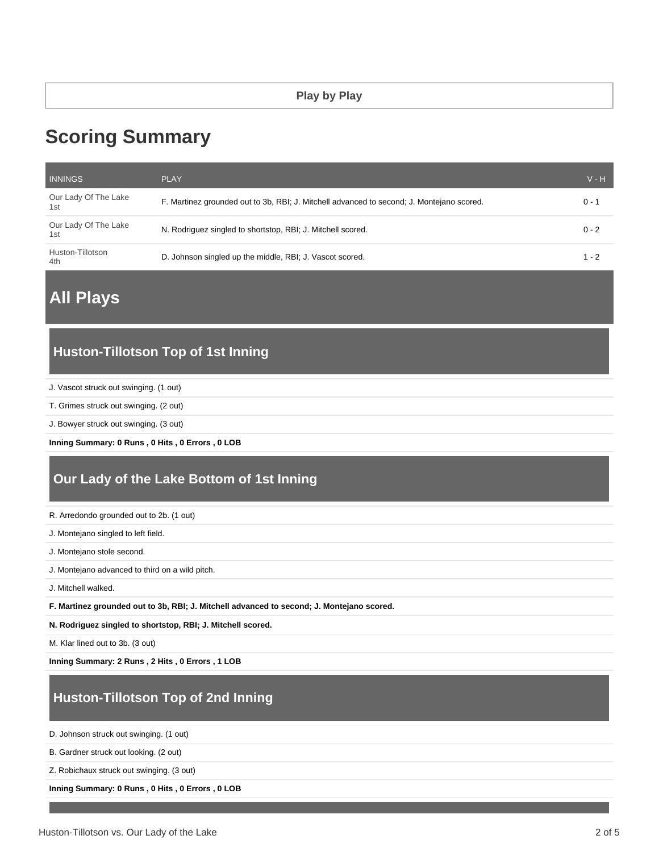# **Scoring Summary**

| <b>INNINGS</b>              | <b>PLAY</b>                                                                               | $V - H$ |
|-----------------------------|-------------------------------------------------------------------------------------------|---------|
| Our Lady Of The Lake<br>1st | F. Martinez grounded out to 3b, RBI; J. Mitchell advanced to second; J. Montejano scored. | $0 - 1$ |
| Our Lady Of The Lake<br>1st | N. Rodriguez singled to shortstop, RBI; J. Mitchell scored.                               | $0 - 2$ |
| Huston-Tillotson<br>4th     | D. Johnson singled up the middle, RBI; J. Vascot scored.                                  | $1 - 2$ |

# **All Plays**

# **Huston-Tillotson Top of 1st Inning**

- J. Vascot struck out swinging. (1 out)
- T. Grimes struck out swinging. (2 out)
- J. Bowyer struck out swinging. (3 out)

**Inning Summary: 0 Runs , 0 Hits , 0 Errors , 0 LOB**

# **Our Lady of the Lake Bottom of 1st Inning**

R. Arredondo grounded out to 2b. (1 out)

- J. Montejano singled to left field.
- J. Montejano stole second.
- J. Montejano advanced to third on a wild pitch.
- J. Mitchell walked.
- **F. Martinez grounded out to 3b, RBI; J. Mitchell advanced to second; J. Montejano scored.**

**N. Rodriguez singled to shortstop, RBI; J. Mitchell scored.**

M. Klar lined out to 3b. (3 out)

**Inning Summary: 2 Runs , 2 Hits , 0 Errors , 1 LOB**

# **Huston-Tillotson Top of 2nd Inning**

D. Johnson struck out swinging. (1 out)

B. Gardner struck out looking. (2 out)

Z. Robichaux struck out swinging. (3 out)

**Inning Summary: 0 Runs , 0 Hits , 0 Errors , 0 LOB**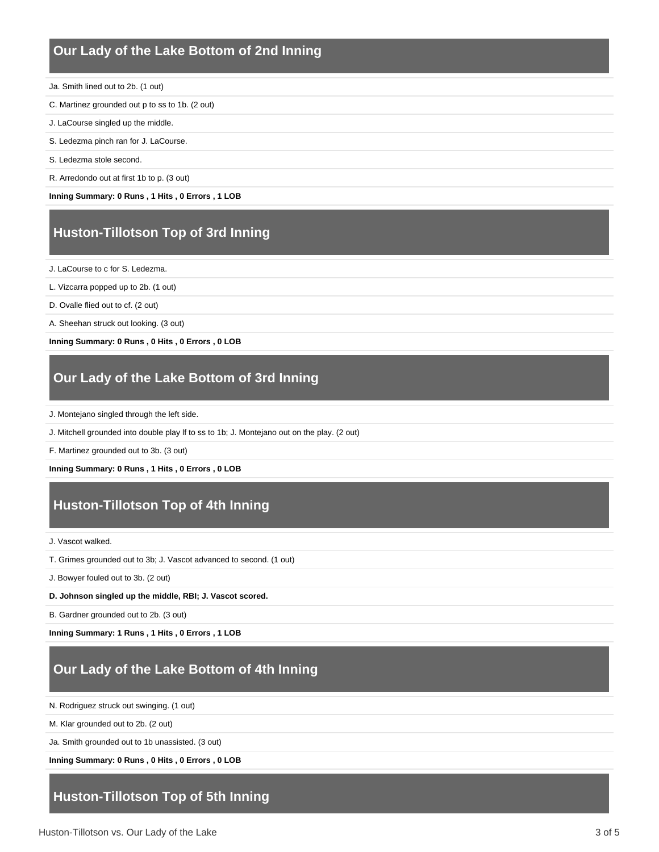### **Our Lady of the Lake Bottom of 2nd Inning**

- Ja. Smith lined out to 2b. (1 out)
- C. Martinez grounded out p to ss to 1b. (2 out)
- J. LaCourse singled up the middle.
- S. Ledezma pinch ran for J. LaCourse.
- S. Ledezma stole second.
- R. Arredondo out at first 1b to p. (3 out)

**Inning Summary: 0 Runs , 1 Hits , 0 Errors , 1 LOB**

# **Huston-Tillotson Top of 3rd Inning**

J. LaCourse to c for S. Ledezma.

- L. Vizcarra popped up to 2b. (1 out)
- D. Ovalle flied out to cf. (2 out)
- A. Sheehan struck out looking. (3 out)

**Inning Summary: 0 Runs , 0 Hits , 0 Errors , 0 LOB**

### **Our Lady of the Lake Bottom of 3rd Inning**

- J. Montejano singled through the left side.
- J. Mitchell grounded into double play lf to ss to 1b; J. Montejano out on the play. (2 out)

F. Martinez grounded out to 3b. (3 out)

#### **Inning Summary: 0 Runs , 1 Hits , 0 Errors , 0 LOB**

# **Huston-Tillotson Top of 4th Inning**

J. Vascot walked.

T. Grimes grounded out to 3b; J. Vascot advanced to second. (1 out)

J. Bowyer fouled out to 3b. (2 out)

**D. Johnson singled up the middle, RBI; J. Vascot scored.**

B. Gardner grounded out to 2b. (3 out)

**Inning Summary: 1 Runs , 1 Hits , 0 Errors , 1 LOB**

# **Our Lady of the Lake Bottom of 4th Inning**

N. Rodriguez struck out swinging. (1 out)

M. Klar grounded out to 2b. (2 out)

Ja. Smith grounded out to 1b unassisted. (3 out)

**Inning Summary: 0 Runs , 0 Hits , 0 Errors , 0 LOB**

# **Huston-Tillotson Top of 5th Inning**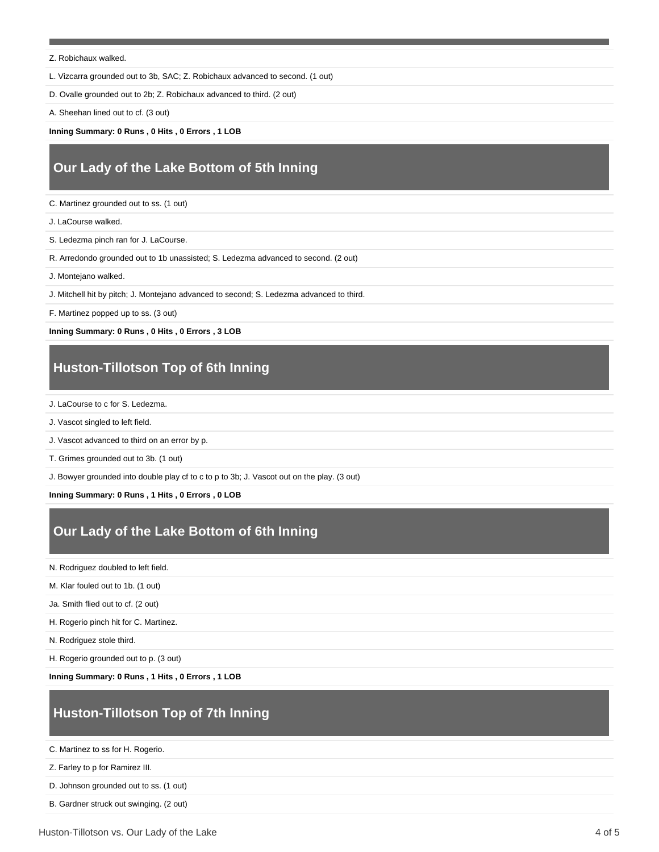#### Z. Robichaux walked.

L. Vizcarra grounded out to 3b, SAC; Z. Robichaux advanced to second. (1 out)

D. Ovalle grounded out to 2b; Z. Robichaux advanced to third. (2 out)

A. Sheehan lined out to cf. (3 out)

**Inning Summary: 0 Runs , 0 Hits , 0 Errors , 1 LOB**

# **Our Lady of the Lake Bottom of 5th Inning**

C. Martinez grounded out to ss. (1 out)

J. LaCourse walked.

S. Ledezma pinch ran for J. LaCourse.

R. Arredondo grounded out to 1b unassisted; S. Ledezma advanced to second. (2 out)

J. Montejano walked.

J. Mitchell hit by pitch; J. Montejano advanced to second; S. Ledezma advanced to third.

F. Martinez popped up to ss. (3 out)

**Inning Summary: 0 Runs , 0 Hits , 0 Errors , 3 LOB**

# **Huston-Tillotson Top of 6th Inning**

J. LaCourse to c for S. Ledezma.

J. Vascot singled to left field.

J. Vascot advanced to third on an error by p.

T. Grimes grounded out to 3b. (1 out)

J. Bowyer grounded into double play cf to c to p to 3b; J. Vascot out on the play. (3 out)

**Inning Summary: 0 Runs , 1 Hits , 0 Errors , 0 LOB**

# **Our Lady of the Lake Bottom of 6th Inning**

N. Rodriguez doubled to left field.

M. Klar fouled out to 1b. (1 out)

Ja. Smith flied out to cf. (2 out)

H. Rogerio pinch hit for C. Martinez.

N. Rodriguez stole third.

H. Rogerio grounded out to p. (3 out)

**Inning Summary: 0 Runs , 1 Hits , 0 Errors , 1 LOB**

# **Huston-Tillotson Top of 7th Inning**

C. Martinez to ss for H. Rogerio.

Z. Farley to p for Ramirez III.

D. Johnson grounded out to ss. (1 out)

B. Gardner struck out swinging. (2 out)